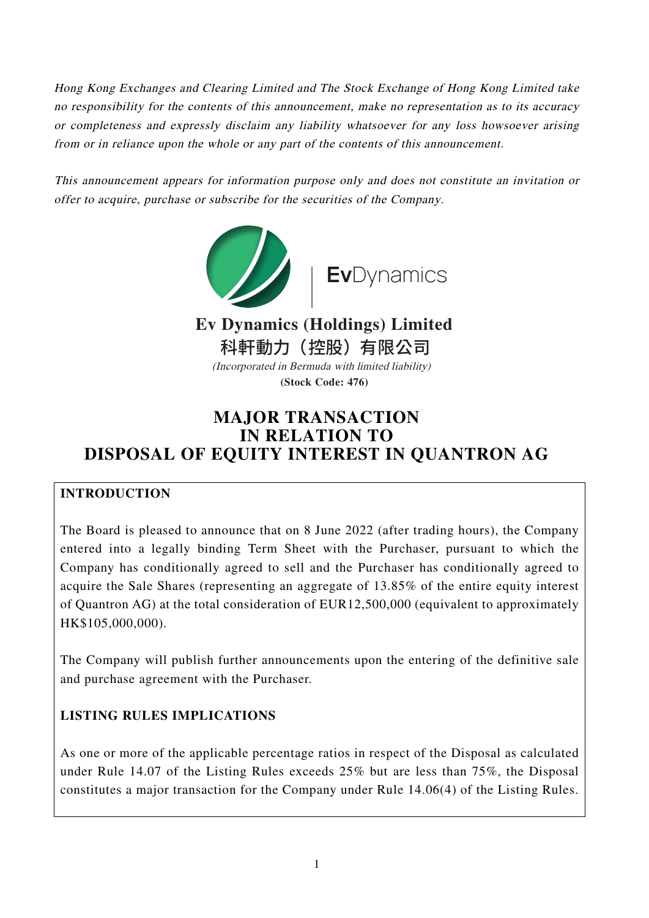Hong Kong Exchanges and Clearing Limited and The Stock Exchange of Hong Kong Limited take no responsibility for the contents of this announcement, make no representation as to its accuracy or completeness and expressly disclaim any liability whatsoever for any loss howsoever arising from or in reliance upon the whole or any part of the contents of this announcement.

This announcement appears for information purpose only and does not constitute an invitation or offer to acquire, purchase or subscribe for the securities of the Company.



科軒動力(控股)有限公司 (Incorporated in Bermuda with limited liability) **(Stock Code: 476)**

# **MAJOR TRANSACTION IN RELATION TO DISPOSAL OF EQUITY INTEREST IN QUANTRON AG**

# **INTRODUCTION**

The Board is pleased to announce that on 8 June 2022 (after trading hours), the Company entered into a legally binding Term Sheet with the Purchaser, pursuant to which the Company has conditionally agreed to sell and the Purchaser has conditionally agreed to acquire the Sale Shares (representing an aggregate of 13.85% of the entire equity interest of Quantron AG) at the total consideration of EUR12,500,000 (equivalent to approximately HK\$105,000,000).

The Company will publish further announcements upon the entering of the definitive sale and purchase agreement with the Purchaser.

# **LISTING RULES IMPLICATIONS**

As one or more of the applicable percentage ratios in respect of the Disposal as calculated under Rule 14.07 of the Listing Rules exceeds 25% but are less than 75%, the Disposal constitutes a major transaction for the Company under Rule 14.06(4) of the Listing Rules.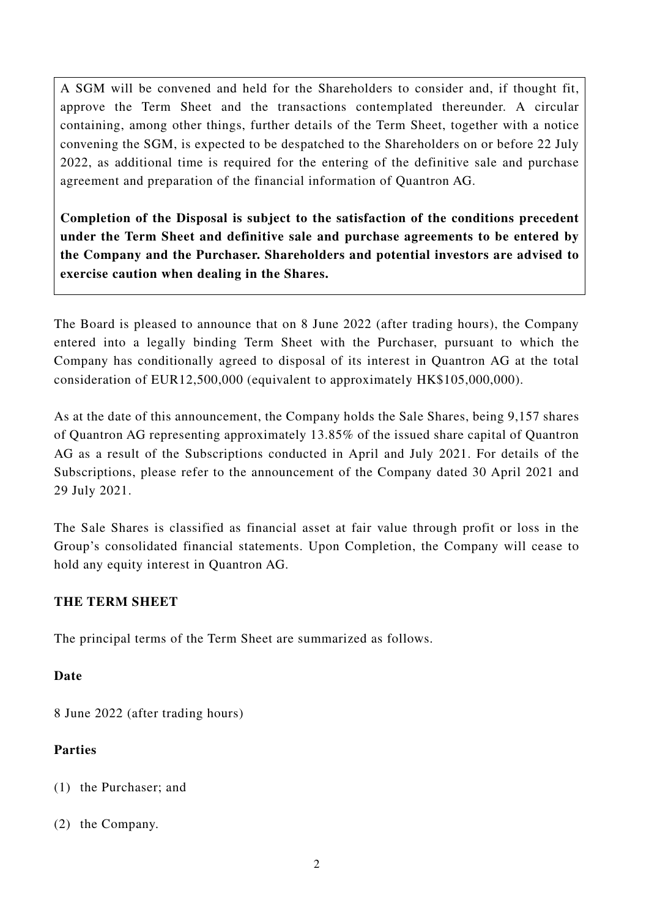A SGM will be convened and held for the Shareholders to consider and, if thought fit, approve the Term Sheet and the transactions contemplated thereunder. A circular containing, among other things, further details of the Term Sheet, together with a notice convening the SGM, is expected to be despatched to the Shareholders on or before 22 July 2022, as additional time is required for the entering of the definitive sale and purchase agreement and preparation of the financial information of Quantron AG.

**Completion of the Disposal is subject to the satisfaction of the conditions precedent under the Term Sheet and definitive sale and purchase agreements to be entered by the Company and the Purchaser. Shareholders and potential investors are advised to exercise caution when dealing in the Shares.** 

The Board is pleased to announce that on 8 June 2022 (after trading hours), the Company entered into a legally binding Term Sheet with the Purchaser, pursuant to which the Company has conditionally agreed to disposal of its interest in Quantron AG at the total consideration of EUR12,500,000 (equivalent to approximately HK\$105,000,000).

As at the date of this announcement, the Company holds the Sale Shares, being 9,157 shares of Quantron AG representing approximately 13.85% of the issued share capital of Quantron AG as a result of the Subscriptions conducted in April and July 2021. For details of the Subscriptions, please refer to the announcement of the Company dated 30 April 2021 and 29 July 2021.

The Sale Shares is classified as financial asset at fair value through profit or loss in the Group's consolidated financial statements. Upon Completion, the Company will cease to hold any equity interest in Quantron AG.

## **THE TERM SHEET**

The principal terms of the Term Sheet are summarized as follows.

#### **Date**

8 June 2022 (after trading hours)

## **Parties**

- (1) the Purchaser; and
- (2) the Company.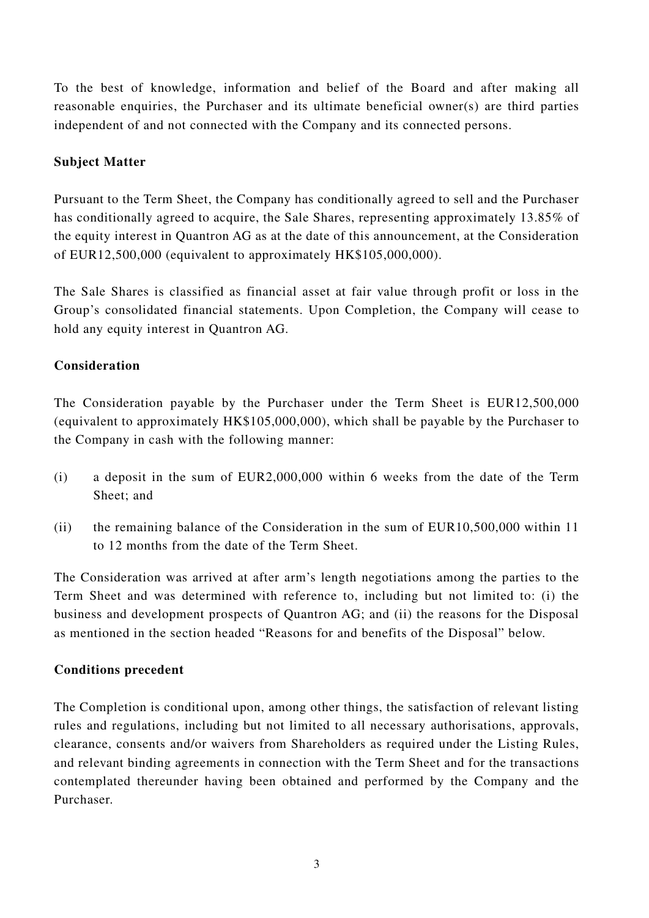To the best of knowledge, information and belief of the Board and after making all reasonable enquiries, the Purchaser and its ultimate beneficial owner(s) are third parties independent of and not connected with the Company and its connected persons.

## **Subject Matter**

Pursuant to the Term Sheet, the Company has conditionally agreed to sell and the Purchaser has conditionally agreed to acquire, the Sale Shares, representing approximately 13.85% of the equity interest in Quantron AG as at the date of this announcement, at the Consideration of EUR12,500,000 (equivalent to approximately HK\$105,000,000).

The Sale Shares is classified as financial asset at fair value through profit or loss in the Group's consolidated financial statements. Upon Completion, the Company will cease to hold any equity interest in Quantron AG.

#### **Consideration**

The Consideration payable by the Purchaser under the Term Sheet is EUR12,500,000 (equivalent to approximately HK\$105,000,000), which shall be payable by the Purchaser to the Company in cash with the following manner:

- (i) a deposit in the sum of EUR2,000,000 within 6 weeks from the date of the Term Sheet; and
- (ii) the remaining balance of the Consideration in the sum of EUR10,500,000 within 11 to 12 months from the date of the Term Sheet.

The Consideration was arrived at after arm's length negotiations among the parties to the Term Sheet and was determined with reference to, including but not limited to: (i) the business and development prospects of Quantron AG; and (ii) the reasons for the Disposal as mentioned in the section headed "Reasons for and benefits of the Disposal" below.

#### **Conditions precedent**

The Completion is conditional upon, among other things, the satisfaction of relevant listing rules and regulations, including but not limited to all necessary authorisations, approvals, clearance, consents and/or waivers from Shareholders as required under the Listing Rules, and relevant binding agreements in connection with the Term Sheet and for the transactions contemplated thereunder having been obtained and performed by the Company and the Purchaser.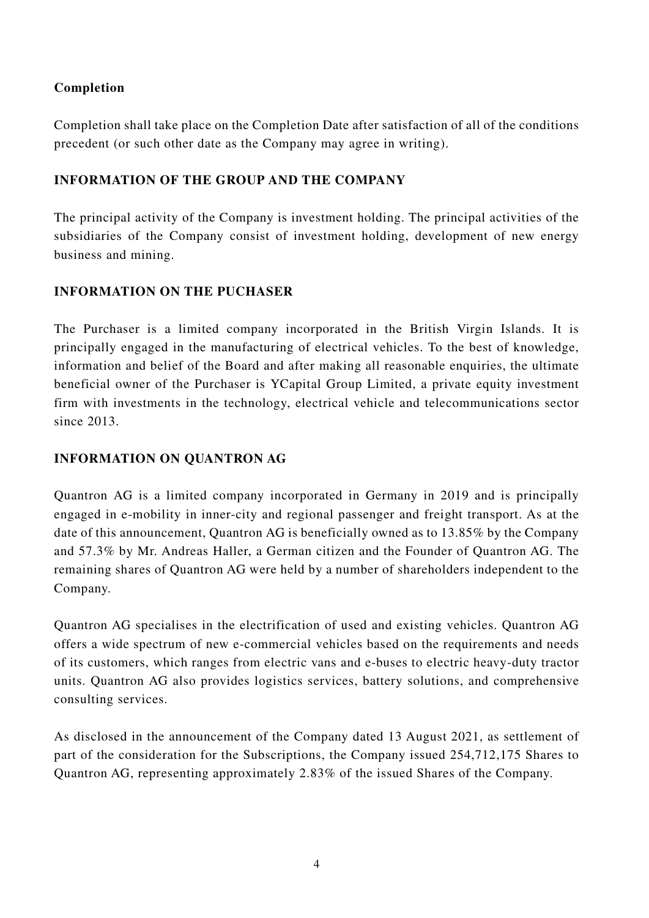## **Completion**

Completion shall take place on the Completion Date after satisfaction of all of the conditions precedent (or such other date as the Company may agree in writing).

## **INFORMATION OF THE GROUP AND THE COMPANY**

The principal activity of the Company is investment holding. The principal activities of the subsidiaries of the Company consist of investment holding, development of new energy business and mining.

## **INFORMATION ON THE PUCHASER**

The Purchaser is a limited company incorporated in the British Virgin Islands. It is principally engaged in the manufacturing of electrical vehicles. To the best of knowledge, information and belief of the Board and after making all reasonable enquiries, the ultimate beneficial owner of the Purchaser is YCapital Group Limited, a private equity investment firm with investments in the technology, electrical vehicle and telecommunications sector since 2013.

## **INFORMATION ON QUANTRON AG**

Quantron AG is a limited company incorporated in Germany in 2019 and is principally engaged in e-mobility in inner-city and regional passenger and freight transport. As at the date of this announcement, Quantron AG is beneficially owned as to 13.85% by the Company and 57.3% by Mr. Andreas Haller, a German citizen and the Founder of Quantron AG. The remaining shares of Quantron AG were held by a number of shareholders independent to the Company.

Quantron AG specialises in the electrification of used and existing vehicles. Quantron AG offers a wide spectrum of new e-commercial vehicles based on the requirements and needs of its customers, which ranges from electric vans and e-buses to electric heavy-duty tractor units. Quantron AG also provides logistics services, battery solutions, and comprehensive consulting services.

As disclosed in the announcement of the Company dated 13 August 2021, as settlement of part of the consideration for the Subscriptions, the Company issued 254,712,175 Shares to Quantron AG, representing approximately 2.83% of the issued Shares of the Company.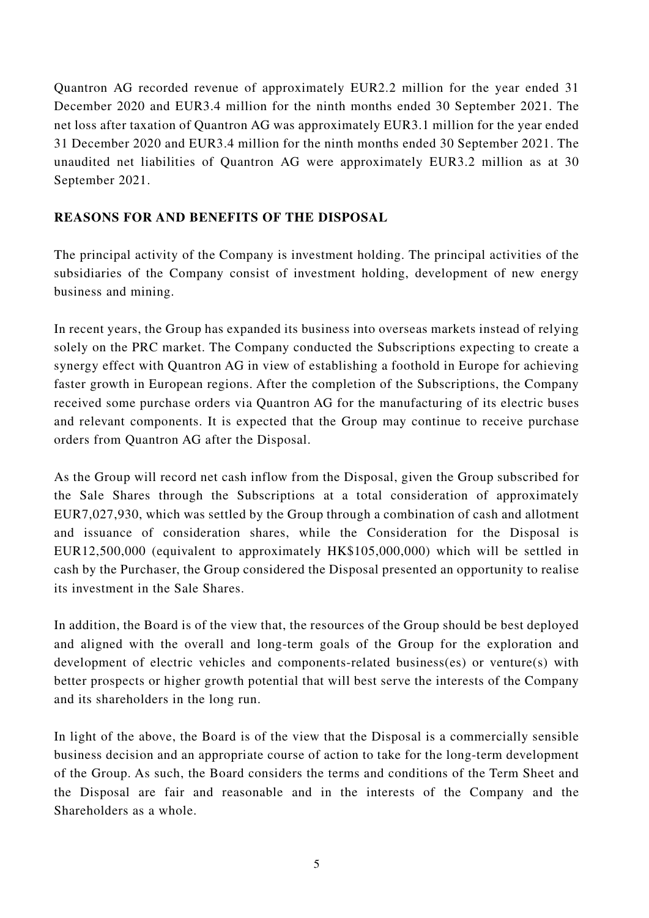Quantron AG recorded revenue of approximately EUR2.2 million for the year ended 31 December 2020 and EUR3.4 million for the ninth months ended 30 September 2021. The net loss after taxation of Quantron AG was approximately EUR3.1 million for the year ended 31 December 2020 and EUR3.4 million for the ninth months ended 30 September 2021. The unaudited net liabilities of Quantron AG were approximately EUR3.2 million as at 30 September 2021.

## **REASONS FOR AND BENEFITS OF THE DISPOSAL**

The principal activity of the Company is investment holding. The principal activities of the subsidiaries of the Company consist of investment holding, development of new energy business and mining.

In recent years, the Group has expanded its business into overseas markets instead of relying solely on the PRC market. The Company conducted the Subscriptions expecting to create a synergy effect with Quantron AG in view of establishing a foothold in Europe for achieving faster growth in European regions. After the completion of the Subscriptions, the Company received some purchase orders via Quantron AG for the manufacturing of its electric buses and relevant components. It is expected that the Group may continue to receive purchase orders from Quantron AG after the Disposal.

As the Group will record net cash inflow from the Disposal, given the Group subscribed for the Sale Shares through the Subscriptions at a total consideration of approximately EUR7,027,930, which was settled by the Group through a combination of cash and allotment and issuance of consideration shares, while the Consideration for the Disposal is EUR12,500,000 (equivalent to approximately HK\$105,000,000) which will be settled in cash by the Purchaser, the Group considered the Disposal presented an opportunity to realise its investment in the Sale Shares.

In addition, the Board is of the view that, the resources of the Group should be best deployed and aligned with the overall and long-term goals of the Group for the exploration and development of electric vehicles and components-related business(es) or venture(s) with better prospects or higher growth potential that will best serve the interests of the Company and its shareholders in the long run.

In light of the above, the Board is of the view that the Disposal is a commercially sensible business decision and an appropriate course of action to take for the long-term development of the Group. As such, the Board considers the terms and conditions of the Term Sheet and the Disposal are fair and reasonable and in the interests of the Company and the Shareholders as a whole.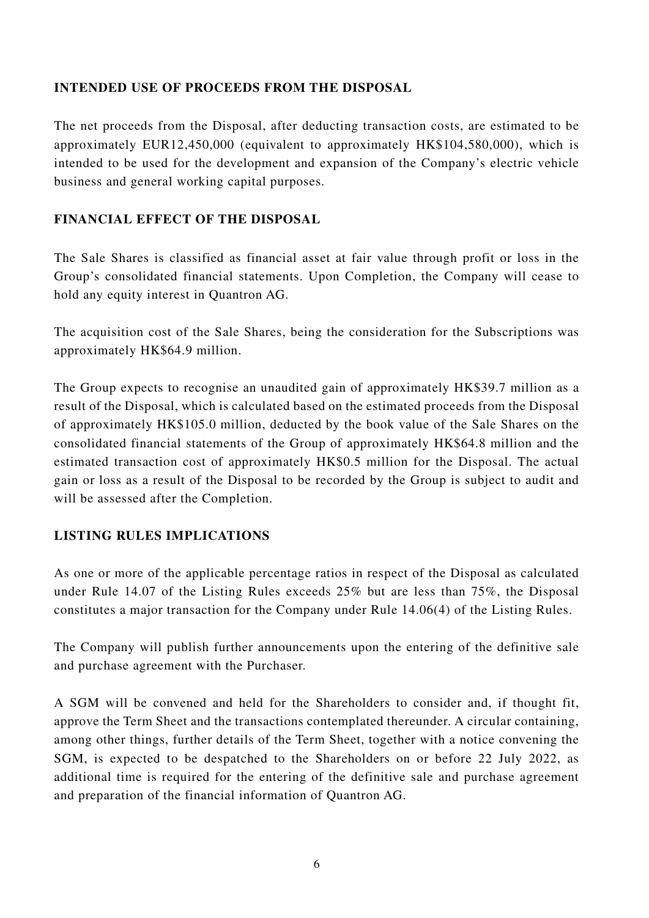## **INTENDED USE OF PROCEEDS FROM THE DISPOSAL**

The net proceeds from the Disposal, after deducting transaction costs, are estimated to be approximately EUR12,450,000 (equivalent to approximately HK\$104,580,000), which is intended to be used for the development and expansion of the Company's electric vehicle business and general working capital purposes.

#### **FINANCIAL EFFECT OF THE DISPOSAL**

The Sale Shares is classified as financial asset at fair value through profit or loss in the Group's consolidated financial statements. Upon Completion, the Company will cease to hold any equity interest in Quantron AG.

The acquisition cost of the Sale Shares, being the consideration for the Subscriptions was approximately HK\$64.9 million.

The Group expects to recognise an unaudited gain of approximately HK\$39.7 million as a result of the Disposal, which is calculated based on the estimated proceeds from the Disposal of approximately HK\$105.0 million, deducted by the book value of the Sale Shares on the consolidated financial statements of the Group of approximately HK\$64.8 million and the estimated transaction cost of approximately HK\$0.5 million for the Disposal. The actual gain or loss as a result of the Disposal to be recorded by the Group is subject to audit and will be assessed after the Completion.

## **LISTING RULES IMPLICATIONS**

As one or more of the applicable percentage ratios in respect of the Disposal as calculated under Rule 14.07 of the Listing Rules exceeds 25% but are less than 75%, the Disposal constitutes a major transaction for the Company under Rule 14.06(4) of the Listing Rules.

The Company will publish further announcements upon the entering of the definitive sale and purchase agreement with the Purchaser.

A SGM will be convened and held for the Shareholders to consider and, if thought fit, approve the Term Sheet and the transactions contemplated thereunder. A circular containing, among other things, further details of the Term Sheet, together with a notice convening the SGM, is expected to be despatched to the Shareholders on or before 22 July 2022, as additional time is required for the entering of the definitive sale and purchase agreement and preparation of the financial information of Quantron AG.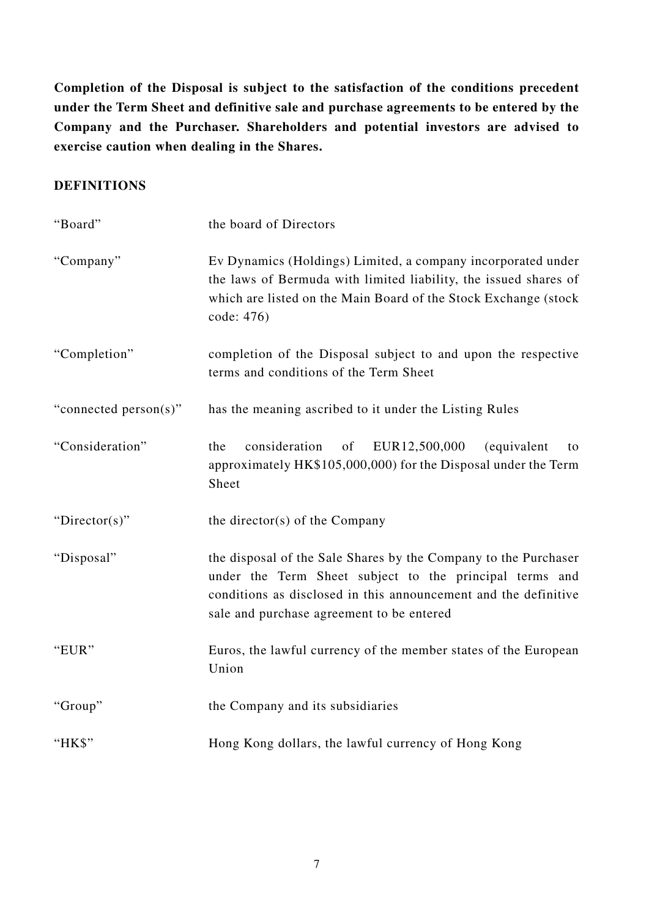**Completion of the Disposal is subject to the satisfaction of the conditions precedent under the Term Sheet and definitive sale and purchase agreements to be entered by the Company and the Purchaser. Shareholders and potential investors are advised to exercise caution when dealing in the Shares.**

#### **DEFINITIONS**

| "Board"               | the board of Directors                                                                                                                                                                                                                     |
|-----------------------|--------------------------------------------------------------------------------------------------------------------------------------------------------------------------------------------------------------------------------------------|
| "Company"             | Ev Dynamics (Holdings) Limited, a company incorporated under<br>the laws of Bermuda with limited liability, the issued shares of<br>which are listed on the Main Board of the Stock Exchange (stock<br>code: 476)                          |
| "Completion"          | completion of the Disposal subject to and upon the respective<br>terms and conditions of the Term Sheet                                                                                                                                    |
| "connected person(s)" | has the meaning ascribed to it under the Listing Rules                                                                                                                                                                                     |
| "Consideration"       | consideration<br>EUR12,500,000<br>(equivalent<br>the<br>of<br>to<br>approximately HK\$105,000,000) for the Disposal under the Term<br>Sheet                                                                                                |
| "Director(s)"         | the director(s) of the Company                                                                                                                                                                                                             |
| "Disposal"            | the disposal of the Sale Shares by the Company to the Purchaser<br>under the Term Sheet subject to the principal terms and<br>conditions as disclosed in this announcement and the definitive<br>sale and purchase agreement to be entered |
| "EUR"                 | Euros, the lawful currency of the member states of the European<br>Union                                                                                                                                                                   |
| "Group"               | the Company and its subsidiaries                                                                                                                                                                                                           |
| "HK\$"                | Hong Kong dollars, the lawful currency of Hong Kong                                                                                                                                                                                        |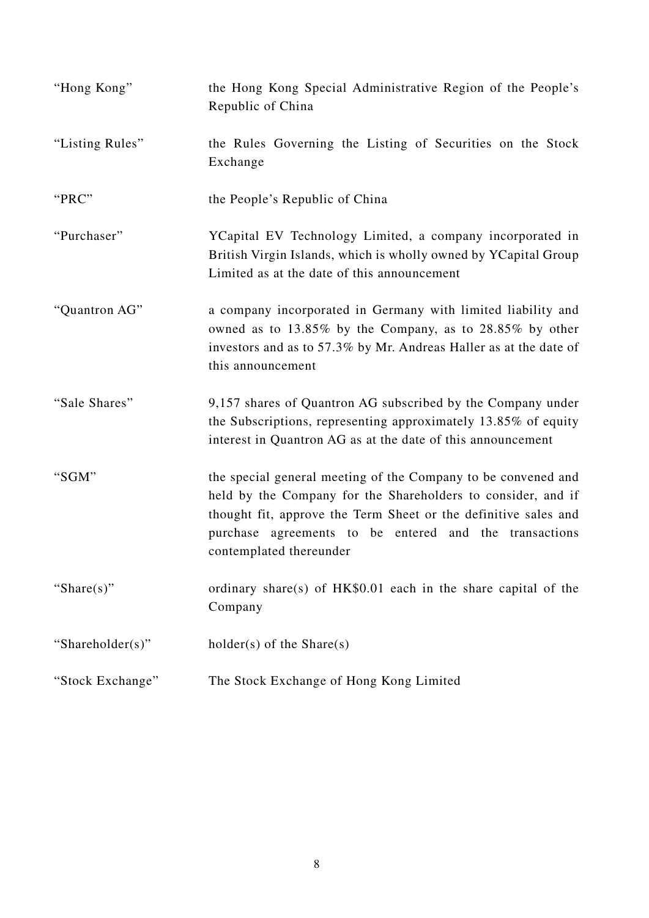| "Hong Kong"      | the Hong Kong Special Administrative Region of the People's<br>Republic of China                                                                                                                                                                                                      |
|------------------|---------------------------------------------------------------------------------------------------------------------------------------------------------------------------------------------------------------------------------------------------------------------------------------|
| "Listing Rules"  | the Rules Governing the Listing of Securities on the Stock<br>Exchange                                                                                                                                                                                                                |
| "PRC"            | the People's Republic of China                                                                                                                                                                                                                                                        |
| "Purchaser"      | YCapital EV Technology Limited, a company incorporated in<br>British Virgin Islands, which is wholly owned by YCapital Group<br>Limited as at the date of this announcement                                                                                                           |
| "Quantron AG"    | a company incorporated in Germany with limited liability and<br>owned as to 13.85% by the Company, as to 28.85% by other<br>investors and as to 57.3% by Mr. Andreas Haller as at the date of<br>this announcement                                                                    |
| "Sale Shares"    | 9,157 shares of Quantron AG subscribed by the Company under<br>the Subscriptions, representing approximately 13.85% of equity<br>interest in Quantron AG as at the date of this announcement                                                                                          |
| "SGM"            | the special general meeting of the Company to be convened and<br>held by the Company for the Shareholders to consider, and if<br>thought fit, approve the Term Sheet or the definitive sales and<br>purchase agreements to be entered and the transactions<br>contemplated thereunder |
| "Share $(s)$ "   | ordinary share(s) of $HK$0.01$ each in the share capital of the<br>Company                                                                                                                                                                                                            |
| "Shareholder(s)" | $holder(s)$ of the Share(s)                                                                                                                                                                                                                                                           |
| "Stock Exchange" | The Stock Exchange of Hong Kong Limited                                                                                                                                                                                                                                               |